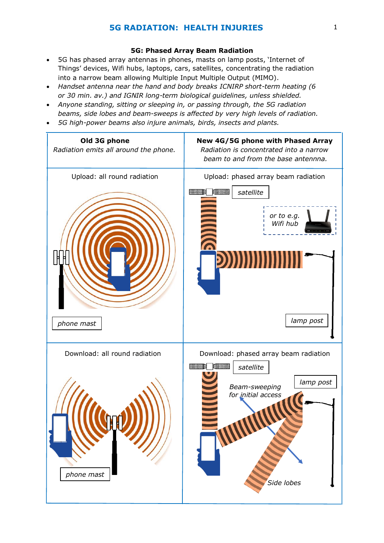# **5G RADIATION: HEALTH INJURIES** 1

# **5G: Phased Array Beam Radiation**

- 5G has phased array antennas in phones, masts on lamp posts, 'Internet of Things' devices, Wifi hubs, laptops, cars, satellites, concentrating the radiation into a narrow beam allowing Multiple Input Multiple Output (MIMO).
- *Handset antenna near the hand and body breaks ICNIRP short-term heating (6 or 30 min. av.) and IGNIR long-term biological guidelines, unless shielded.*
- *Anyone standing, sitting or sleeping in, or passing through, the 5G radiation beams, side lobes and beam-sweeps is affected by very high levels of radiation.*
- *5G high-power beams also injure animals, birds, insects and plants.*